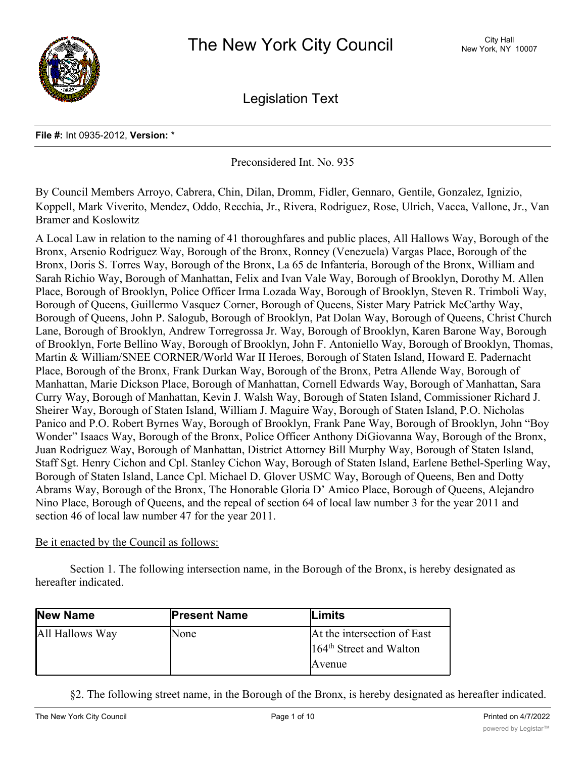

Legislation Text

## **File #:** Int 0935-2012, **Version:** \*

Preconsidered Int. No. 935

By Council Members Arroyo, Cabrera, Chin, Dilan, Dromm, Fidler, Gennaro, Gentile, Gonzalez, Ignizio, Koppell, Mark Viverito, Mendez, Oddo, Recchia, Jr., Rivera, Rodriguez, Rose, Ulrich, Vacca, Vallone, Jr., Van Bramer and Koslowitz

A Local Law in relation to the naming of 41 thoroughfares and public places, All Hallows Way, Borough of the Bronx, Arsenio Rodriguez Way, Borough of the Bronx, Ronney (Venezuela) Vargas Place, Borough of the Bronx, Doris S. Torres Way, Borough of the Bronx, La 65 de Infantería, Borough of the Bronx, William and Sarah Richio Way, Borough of Manhattan, Felix and Ivan Vale Way, Borough of Brooklyn, Dorothy M. Allen Place, Borough of Brooklyn, Police Officer Irma Lozada Way, Borough of Brooklyn, Steven R. Trimboli Way, Borough of Queens, Guillermo Vasquez Corner, Borough of Queens, Sister Mary Patrick McCarthy Way, Borough of Queens, John P. Salogub, Borough of Brooklyn, Pat Dolan Way, Borough of Queens, Christ Church Lane, Borough of Brooklyn, Andrew Torregrossa Jr. Way, Borough of Brooklyn, Karen Barone Way, Borough of Brooklyn, Forte Bellino Way, Borough of Brooklyn, John F. Antoniello Way, Borough of Brooklyn, Thomas, Martin & William/SNEE CORNER/World War II Heroes, Borough of Staten Island, Howard E. Padernacht Place, Borough of the Bronx, Frank Durkan Way, Borough of the Bronx, Petra Allende Way, Borough of Manhattan, Marie Dickson Place, Borough of Manhattan, Cornell Edwards Way, Borough of Manhattan, Sara Curry Way, Borough of Manhattan, Kevin J. Walsh Way, Borough of Staten Island, Commissioner Richard J. Sheirer Way, Borough of Staten Island, William J. Maguire Way, Borough of Staten Island, P.O. Nicholas Panico and P.O. Robert Byrnes Way, Borough of Brooklyn, Frank Pane Way, Borough of Brooklyn, John "Boy Wonder" Isaacs Way, Borough of the Bronx, Police Officer Anthony DiGiovanna Way, Borough of the Bronx, Juan Rodriguez Way, Borough of Manhattan, District Attorney Bill Murphy Way, Borough of Staten Island, Staff Sgt. Henry Cichon and Cpl. Stanley Cichon Way, Borough of Staten Island, Earlene Bethel-Sperling Way, Borough of Staten Island, Lance Cpl. Michael D. Glover USMC Way, Borough of Queens, Ben and Dotty Abrams Way, Borough of the Bronx, The Honorable Gloria D' Amico Place, Borough of Queens, Alejandro Nino Place, Borough of Queens, and the repeal of section 64 of local law number 3 for the year 2011 and section 46 of local law number 47 for the year 2011.

## Be it enacted by the Council as follows:

Section 1. The following intersection name, in the Borough of the Bronx, is hereby designated as hereafter indicated.

| New Name        | <b>Present Name</b> | <b>Limits</b>                       |
|-----------------|---------------------|-------------------------------------|
| All Hallows Way | None                | At the intersection of East         |
|                 |                     | 164 <sup>th</sup> Street and Walton |
|                 |                     | Avenue                              |

§2. The following street name, in the Borough of the Bronx, is hereby designated as hereafter indicated.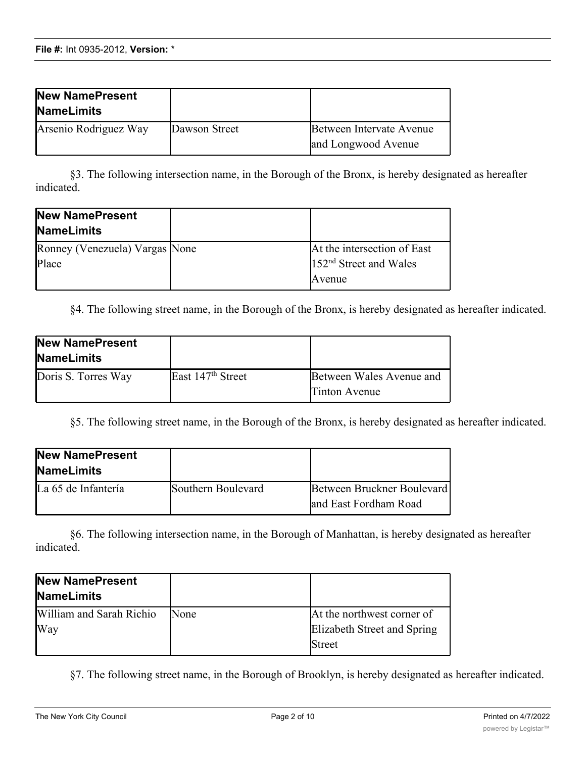| New NamePresent<br><b>NameLimits</b> |               |                                                 |
|--------------------------------------|---------------|-------------------------------------------------|
| Arsenio Rodriguez Way                | Dawson Street | Between Intervate Avenue<br>and Longwood Avenue |

§3. The following intersection name, in the Borough of the Bronx, is hereby designated as hereafter indicated.

| New NamePresent<br><b>NameLimits</b>    |                                                                   |
|-----------------------------------------|-------------------------------------------------------------------|
| Ronney (Venezuela) Vargas None<br>Place | At the intersection of East<br>$152nd$ Street and Wales<br>Avenue |

§4. The following street name, in the Borough of the Bronx, is hereby designated as hereafter indicated.

| <b>New NamePresent</b><br><b>NameLimits</b> |                               |                                           |
|---------------------------------------------|-------------------------------|-------------------------------------------|
| Doris S. Torres Way                         | East 147 <sup>th</sup> Street | Between Wales Avenue and<br>Tinton Avenue |

§5. The following street name, in the Borough of the Bronx, is hereby designated as hereafter indicated.

| <b>New NamePresent</b><br><b>NameLimits</b> |                    |                                                     |
|---------------------------------------------|--------------------|-----------------------------------------------------|
| La 65 de Infantería                         | Southern Boulevard | Between Bruckner Boulevard<br>and East Fordham Road |

§6. The following intersection name, in the Borough of Manhattan, is hereby designated as hereafter indicated.

| <b>New NamePresent</b><br><b>NameLimits</b> |      |                             |
|---------------------------------------------|------|-----------------------------|
| William and Sarah Richio                    | None | At the northwest corner of  |
| Way                                         |      | Elizabeth Street and Spring |
|                                             |      | <b>Street</b>               |

§7. The following street name, in the Borough of Brooklyn, is hereby designated as hereafter indicated.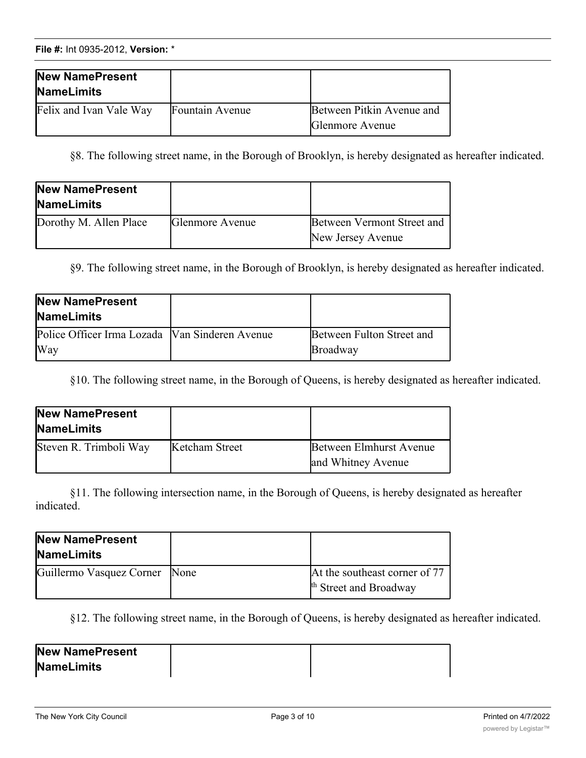| New NamePresent<br><b>NameLimits</b> |                 |                                              |
|--------------------------------------|-----------------|----------------------------------------------|
| Felix and Ivan Vale Way              | Fountain Avenue | Between Pitkin Avenue and<br>Glenmore Avenue |

§8. The following street name, in the Borough of Brooklyn, is hereby designated as hereafter indicated.

| New NamePresent<br><b>NameLimits</b> |                        |                                                 |
|--------------------------------------|------------------------|-------------------------------------------------|
| Dorothy M. Allen Place               | <b>Glenmore</b> Avenue | Between Vermont Street and<br>New Jersey Avenue |

§9. The following street name, in the Borough of Brooklyn, is hereby designated as hereafter indicated.

| New NamePresent<br><b>NameLimits</b>                    |                                       |
|---------------------------------------------------------|---------------------------------------|
| Police Officer Irma Lozada   Van Sinderen Avenue<br>Way | Between Fulton Street and<br>Broadway |

§10. The following street name, in the Borough of Queens, is hereby designated as hereafter indicated.

| New NamePresent<br><b>NameLimits</b> |                |                                               |
|--------------------------------------|----------------|-----------------------------------------------|
| Steven R. Trimboli Way               | Ketcham Street | Between Elmhurst Avenue<br>and Whitney Avenue |

§11. The following intersection name, in the Borough of Queens, is hereby designated as hereafter indicated.

| New NamePresent<br><b>NameLimits</b> |                                                                    |
|--------------------------------------|--------------------------------------------------------------------|
| Guillermo Vasquez Corner None        | At the southeast corner of 77<br><sup>th</sup> Street and Broadway |

§12. The following street name, in the Borough of Queens, is hereby designated as hereafter indicated.

| New NamePresent |  |
|-----------------|--|
| NameLimits      |  |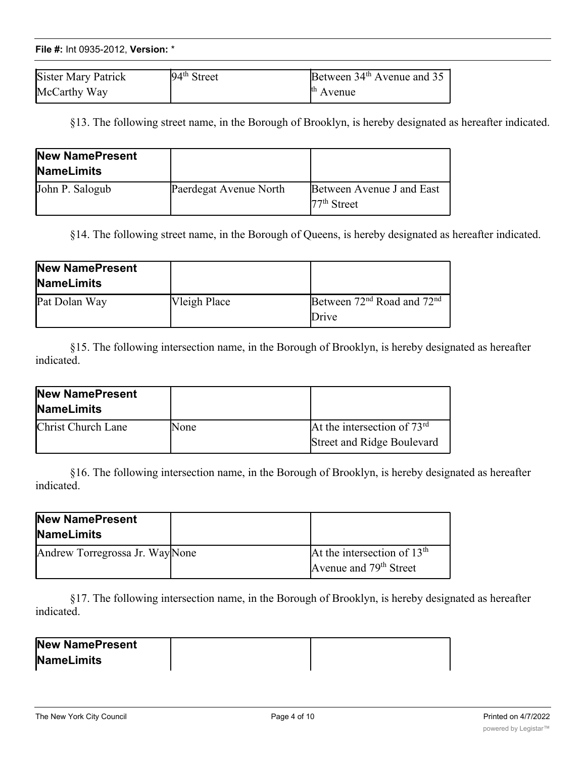| Sister Mary Patrick | $94th$ Street | Between $34th$ Avenue and 35 |
|---------------------|---------------|------------------------------|
| McCarthy Way        |               | <sup>th</sup> Avenue         |

§13. The following street name, in the Borough of Brooklyn, is hereby designated as hereafter indicated.

| New NamePresent<br><b>NameLimits</b> |                        |                                            |
|--------------------------------------|------------------------|--------------------------------------------|
| John P. Salogub                      | Paerdegat Avenue North | Between Avenue J and East<br>$77th$ Street |

§14. The following street name, in the Borough of Queens, is hereby designated as hereafter indicated.

| New NamePresent<br><b>NameLimits</b> |              |                                                             |
|--------------------------------------|--------------|-------------------------------------------------------------|
| Pat Dolan Way                        | Vleigh Place | Between 72 <sup>nd</sup> Road and 72 <sup>nd</sup><br>Drive |

§15. The following intersection name, in the Borough of Brooklyn, is hereby designated as hereafter indicated.

| New NamePresent<br><b>NameLimits</b> |      |                                                                    |
|--------------------------------------|------|--------------------------------------------------------------------|
| Christ Church Lane                   | None | At the intersection of $73rd$<br><b>Street and Ridge Boulevard</b> |
|                                      |      |                                                                    |

§16. The following intersection name, in the Borough of Brooklyn, is hereby designated as hereafter indicated.

| New NamePresent<br><b>NameLimits</b> |                                                                     |
|--------------------------------------|---------------------------------------------------------------------|
| Andrew Torregrossa Jr. WayNone       | At the intersection of $13th$<br>Avenue and 79 <sup>th</sup> Street |

§17. The following intersection name, in the Borough of Brooklyn, is hereby designated as hereafter indicated.

| New NamePresent   |  |
|-------------------|--|
| <b>NameLimits</b> |  |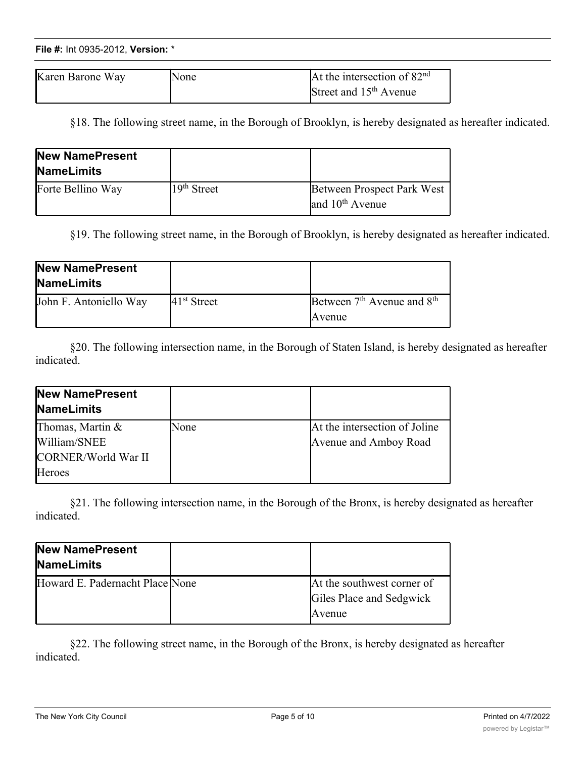| Karen Barone Way | 'None | At the intersection of $82nd$      |
|------------------|-------|------------------------------------|
|                  |       | Street and 15 <sup>th</sup> Avenue |

§18. The following street name, in the Borough of Brooklyn, is hereby designated as hereafter indicated.

| New NamePresent<br><b>NameLimits</b> |               |                                                           |
|--------------------------------------|---------------|-----------------------------------------------------------|
| Forte Bellino Way                    | $19th$ Street | Between Prospect Park West<br>and 10 <sup>th</sup> Avenue |

§19. The following street name, in the Borough of Brooklyn, is hereby designated as hereafter indicated.

| New NamePresent<br><b>NameLimits</b> |               |                                                              |
|--------------------------------------|---------------|--------------------------------------------------------------|
| John F. Antoniello Way               | $41st$ Street | Between 7 <sup>th</sup> Avenue and 8 <sup>th</sup><br>Avenue |

§20. The following intersection name, in the Borough of Staten Island, is hereby designated as hereafter indicated.

| New NamePresent<br><b>NameLimits</b> |      |                               |
|--------------------------------------|------|-------------------------------|
| Thomas, Martin &                     | None | At the intersection of Joline |
| William/SNEE                         |      | Avenue and Amboy Road         |
| CORNER/World War II                  |      |                               |
| <b>Heroes</b>                        |      |                               |

§21. The following intersection name, in the Borough of the Bronx, is hereby designated as hereafter indicated.

| New NamePresent<br><b>NameLimits</b> |                                                                  |
|--------------------------------------|------------------------------------------------------------------|
| Howard E. Padernacht Place None      | At the southwest corner of<br>Giles Place and Sedgwick<br>Avenue |

§22. The following street name, in the Borough of the Bronx, is hereby designated as hereafter indicated.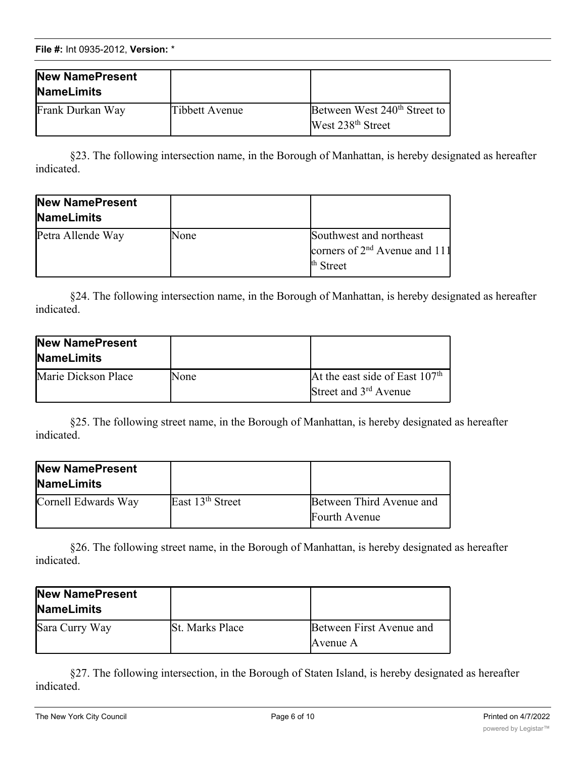**File #:** Int 0935-2012, **Version:** \*

| New NamePresent<br><b>NameLimits</b> |                |                                                                           |
|--------------------------------------|----------------|---------------------------------------------------------------------------|
| Frank Durkan Way                     | Tibbett Avenue | Between West 240 <sup>th</sup> Street to<br>West 238 <sup>th</sup> Street |

§23. The following intersection name, in the Borough of Manhattan, is hereby designated as hereafter indicated.

| New NamePresent<br><b>NameLimits</b> |      |                                                                           |
|--------------------------------------|------|---------------------------------------------------------------------------|
| Petra Allende Way                    | None | Southwest and northeast<br>corners of $2nd$ Avenue and 111<br>$th Street$ |

§24. The following intersection name, in the Borough of Manhattan, is hereby designated as hereafter indicated.

| New NamePresent<br><b>NameLimits</b> |      |                                                                       |
|--------------------------------------|------|-----------------------------------------------------------------------|
| Marie Dickson Place                  | None | At the east side of East $107th$<br>Street and 3 <sup>rd</sup> Avenue |

§25. The following street name, in the Borough of Manhattan, is hereby designated as hereafter indicated.

| <b>New NamePresent</b><br><b>NameLimits</b> |                              |                                           |
|---------------------------------------------|------------------------------|-------------------------------------------|
| Cornell Edwards Way                         | East 13 <sup>th</sup> Street | Between Third Avenue and<br>Fourth Avenue |

§26. The following street name, in the Borough of Manhattan, is hereby designated as hereafter indicated.

| <b>New NamePresent</b><br><b>NameLimits</b> |                        |                                      |
|---------------------------------------------|------------------------|--------------------------------------|
| Sara Curry Way                              | <b>St. Marks Place</b> | Between First Avenue and<br>Avenue A |

§27. The following intersection, in the Borough of Staten Island, is hereby designated as hereafter indicated.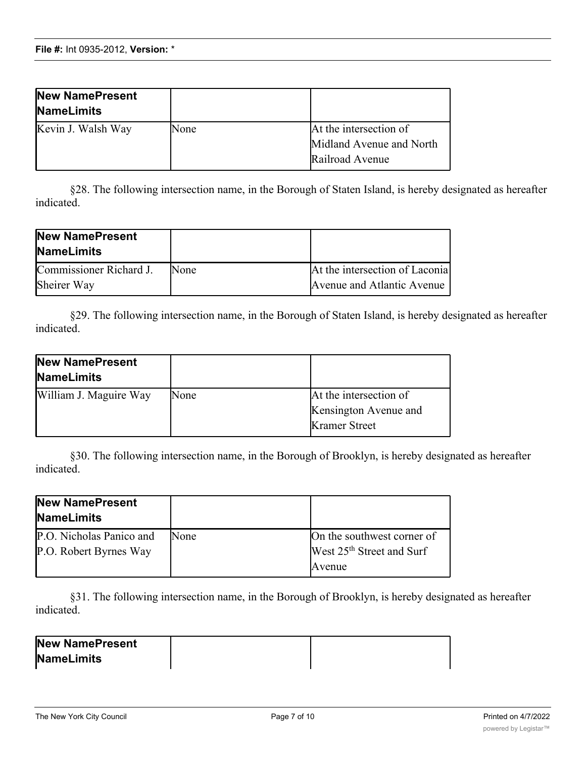| New NamePresent<br><b>NameLimits</b> |      |                                                                       |
|--------------------------------------|------|-----------------------------------------------------------------------|
| Kevin J. Walsh Way                   | None | At the intersection of<br>Midland Avenue and North<br>Railroad Avenue |

§28. The following intersection name, in the Borough of Staten Island, is hereby designated as hereafter indicated.

| New NamePresent<br><b>NameLimits</b> |             |                                |
|--------------------------------------|-------------|--------------------------------|
| Commissioner Richard J.              | <b>None</b> | At the intersection of Laconia |
| Sheirer Way                          |             | Avenue and Atlantic Avenue     |

§29. The following intersection name, in the Borough of Staten Island, is hereby designated as hereafter indicated.

| <b>New NamePresent</b><br><b>NameLimits</b> |      |                        |
|---------------------------------------------|------|------------------------|
| William J. Maguire Way                      | None | At the intersection of |
|                                             |      | Kensington Avenue and  |
|                                             |      | <b>Kramer</b> Street   |

§30. The following intersection name, in the Borough of Brooklyn, is hereby designated as hereafter indicated.

| New NamePresent<br><b>NameLimits</b>               |      |                                                                     |
|----------------------------------------------------|------|---------------------------------------------------------------------|
| P.O. Nicholas Panico and<br>P.O. Robert Byrnes Way | None | On the southwest corner of<br>West 25 <sup>th</sup> Street and Surf |
|                                                    |      | Avenue                                                              |

§31. The following intersection name, in the Borough of Brooklyn, is hereby designated as hereafter indicated.

| <b>New NamePresent</b> |  |
|------------------------|--|
| <b>NameLimits</b>      |  |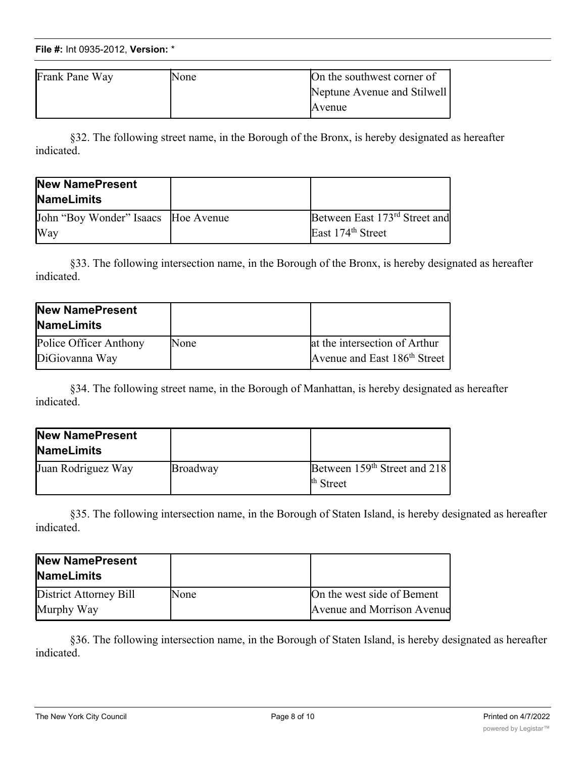## **File #:** Int 0935-2012, Version: \* **NameLimits**

| Frank Pane Way | None | On the southwest corner of  |
|----------------|------|-----------------------------|
|                |      | Neptune Avenue and Stilwell |
|                |      | Avenue                      |

§32. The following street name, in the Borough of the Bronx, is hereby designated as hereafter indicated.

| New NamePresent<br><b>NameLimits</b>       |                                                                            |
|--------------------------------------------|----------------------------------------------------------------------------|
| John "Boy Wonder" Isaacs Hoe Avenue<br>Way | Between East 173 <sup>rd</sup> Street and<br>East 174 <sup>th</sup> Street |
|                                            |                                                                            |

§33. The following intersection name, in the Borough of the Bronx, is hereby designated as hereafter indicated.

| <b>New NamePresent</b><br><b>NameLimits</b> |      |                                                                           |
|---------------------------------------------|------|---------------------------------------------------------------------------|
| Police Officer Anthony<br>DiGiovanna Way    | None | at the intersection of Arthur<br>Avenue and East 186 <sup>th</sup> Street |

§34. The following street name, in the Borough of Manhattan, is hereby designated as hereafter indicated.

| <b>New NamePresent</b><br><b>NameLimits</b> |                 |                                                                  |
|---------------------------------------------|-----------------|------------------------------------------------------------------|
| Juan Rodriguez Way                          | <b>Broadway</b> | Between 159 <sup>th</sup> Street and 218<br><sup>th</sup> Street |

§35. The following intersection name, in the Borough of Staten Island, is hereby designated as hereafter indicated.

| New NamePresent<br><b>NameLimits</b> |              |                            |
|--------------------------------------|--------------|----------------------------|
| District Attorney Bill               | <b>INone</b> | On the west side of Bement |
| Murphy Way                           |              | Avenue and Morrison Avenue |

§36. The following intersection name, in the Borough of Staten Island, is hereby designated as hereafter indicated.

**NameLimits**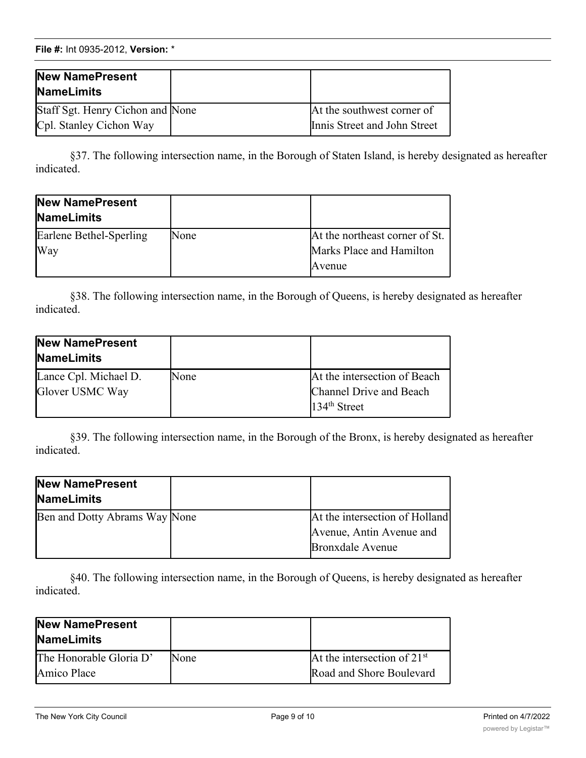**File #:** Int 0935-2012, **Version:** \*

| New NamePresent<br><b>NameLimits</b>                        |                                                            |
|-------------------------------------------------------------|------------------------------------------------------------|
| Staff Sgt. Henry Cichon and None<br>Cpl. Stanley Cichon Way | At the southwest corner of<br>Innis Street and John Street |

§37. The following intersection name, in the Borough of Staten Island, is hereby designated as hereafter indicated.

| New NamePresent<br><b>NameLimits</b> |      |                                |
|--------------------------------------|------|--------------------------------|
| Earlene Bethel-Sperling              | None | At the northeast corner of St. |
| Way                                  |      | Marks Place and Hamilton       |
|                                      |      | Avenue                         |

§38. The following intersection name, in the Borough of Queens, is hereby designated as hereafter indicated.

| New NamePresent<br><b>NameLimits</b>     |      |                                                                           |
|------------------------------------------|------|---------------------------------------------------------------------------|
| Lance Cpl. Michael D.<br>Glover USMC Way | None | At the intersection of Beach<br>Channel Drive and Beach<br>$134th$ Street |

§39. The following intersection name, in the Borough of the Bronx, is hereby designated as hereafter indicated.

| <b>New NamePresent</b><br><b>NameLimits</b> |                                |
|---------------------------------------------|--------------------------------|
| Ben and Dotty Abrams Way None               | At the intersection of Holland |
|                                             | Avenue, Antin Avenue and       |
|                                             | <b>Bronxdale Avenue</b>        |

§40. The following intersection name, in the Borough of Queens, is hereby designated as hereafter indicated.

| New NamePresent<br><b>NameLimits</b> |             |                               |
|--------------------------------------|-------------|-------------------------------|
| The Honorable Gloria D'              | <b>None</b> | At the intersection of $21st$ |
| <b>Amico</b> Place                   |             | Road and Shore Boulevard      |